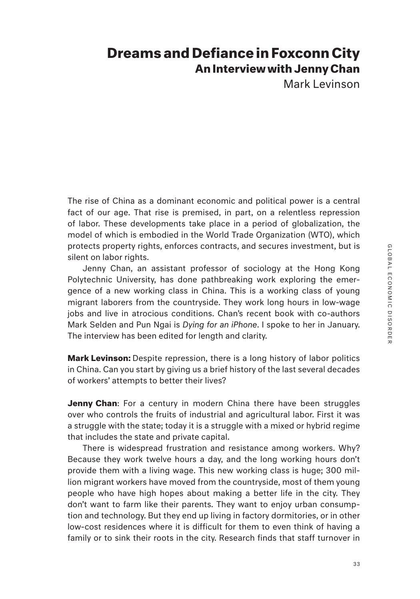## **Dreams and Defiance in Foxconn City An Interview with Jenny Chan**

Mark Levinson

The rise of China as a dominant economic and political power is a central fact of our age. That rise is premised, in part, on a relentless repression of labor. These developments take place in a period of globalization, the model of which is embodied in the World Trade Organization (WTO), which protects property rights, enforces contracts, and secures investment, but is silent on labor rights.

Jenny Chan, an assistant professor of sociology at the Hong Kong Polytechnic University, has done pathbreaking work exploring the emergence of a new working class in China. This is a working class of young migrant laborers from the countryside. They work long hours in low-wage jobs and live in atrocious conditions. Chan's recent book with co-authors Mark Selden and Pun Ngai is *Dying for an iPhone*. I spoke to her in January. The interview has been edited for length and clarity.

**Mark Levinson:** Despite repression, there is a long history of labor politics in China. Can you start by giving us a brief history of the last several decades of workers' attempts to better their lives?

**Jenny Chan**: For a century in modern China there have been struggles over who controls the fruits of industrial and agricultural labor. First it was a struggle with the state; today it is a struggle with a mixed or hybrid regime that includes the state and private capital.

There is widespread frustration and resistance among workers. Why? Because they work twelve hours a day, and the long working hours don't provide them with a living wage. This new working class is huge; 300 million migrant workers have moved from the countryside, most of them young people who have high hopes about making a better life in the city. They don't want to farm like their parents. They want to enjoy urban consumption and technology. But they end up living in factory dormitories, or in other low-cost residences where it is difficult for them to even think of having a family or to sink their roots in the city. Research finds that staff turnover in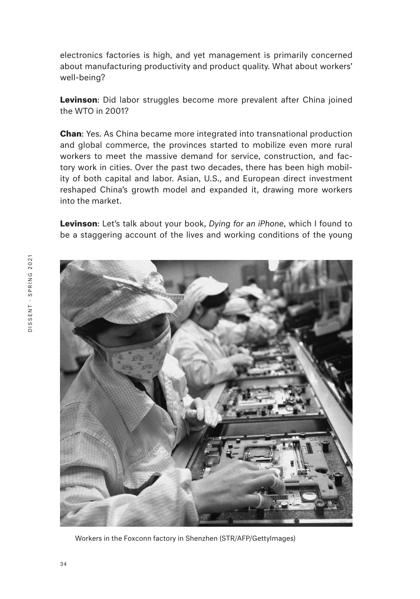electronics factories is high, and yet management is primarily concerned about manufacturing productivity and product quality. What about workers' well-being?

**Levinson**: Did labor struggles become more prevalent after China joined the WTO in 2001?

**Chan**: Yes. As China became more integrated into transnational production and global commerce, the provinces started to mobilize even more rural workers to meet the massive demand for service, construction, and factory work in cities. Over the past two decades, there has been high mobility of both capital and labor. Asian, U.S., and European direct investment reshaped China's growth model and expanded it, drawing more workers into the market.

**Levinson**: Let's talk about your book, *Dying for an iPhone*, which I found to be a staggering account of the lives and working conditions of the young



Workers in the Foxconn factory in Shenzhen (STR/AFP/GettyImages)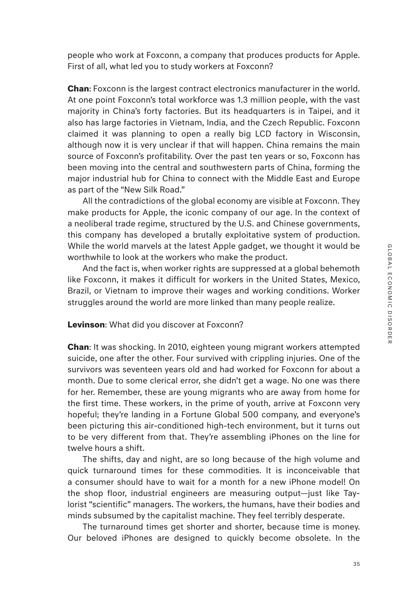people who work at Foxconn, a company that produces products for Apple. First of all, what led you to study workers at Foxconn?

**Chan**: Foxconn is the largest contract electronics manufacturer in the world. At one point Foxconn's total workforce was 1.3 million people, with the vast majority in China's forty factories. But its headquarters is in Taipei, and it also has large factories in Vietnam, India, and the Czech Republic. Foxconn claimed it was planning to open a really big LCD factory in Wisconsin, although now it is very unclear if that will happen. China remains the main source of Foxconn's profitability. Over the past ten years or so, Foxconn has been moving into the central and southwestern parts of China, forming the major industrial hub for China to connect with the Middle East and Europe as part of the "New Silk Road."

All the contradictions of the global economy are visible at Foxconn. They make products for Apple, the iconic company of our age. In the context of a neoliberal trade regime, structured by the U.S. and Chinese governments, this company has developed a brutally exploitative system of production. While the world marvels at the latest Apple gadget, we thought it would be worthwhile to look at the workers who make the product.

And the fact is, when worker rights are suppressed at a global behemoth like Foxconn, it makes it difficult for workers in the United States, Mexico, Brazil, or Vietnam to improve their wages and working conditions. Worker struggles around the world are more linked than many people realize.

## **Levinson**: What did you discover at Foxconn?

**Chan**: It was shocking. In 2010, eighteen young migrant workers attempted suicide, one after the other. Four survived with crippling injuries. One of the survivors was seventeen years old and had worked for Foxconn for about a month. Due to some clerical error, she didn't get a wage. No one was there for her. Remember, these are young migrants who are away from home for the first time. These workers, in the prime of youth, arrive at Foxconn very hopeful; they're landing in a Fortune Global 500 company, and everyone's been picturing this air-conditioned high-tech environment, but it turns out to be very different from that. They're assembling iPhones on the line for twelve hours a shift.

The shifts, day and night, are so long because of the high volume and quick turnaround times for these commodities. It is inconceivable that a consumer should have to wait for a month for a new iPhone model! On the shop floor, industrial engineers are measuring output—just like Taylorist "scientific" managers. The workers, the humans, have their bodies and minds subsumed by the capitalist machine. They feel terribly desperate.

The turnaround times get shorter and shorter, because time is money. Our beloved iPhones are designed to quickly become obsolete. In the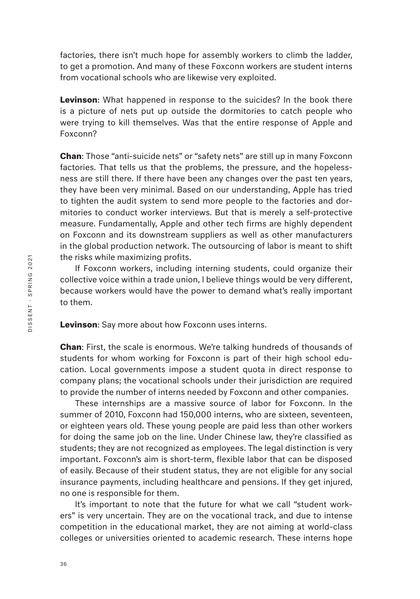factories, there isn't much hope for assembly workers to climb the ladder, to get a promotion. And many of these Foxconn workers are student interns from vocational schools who are likewise very exploited.

**Levinson**: What happened in response to the suicides? In the book there is a picture of nets put up outside the dormitories to catch people who were trying to kill themselves. Was that the entire response of Apple and Foxconn?

**Chan**: Those "anti-suicide nets" or "safety nets" are still up in many Foxconn factories. That tells us that the problems, the pressure, and the hopelessness are still there. If there have been any changes over the past ten years, they have been very minimal. Based on our understanding, Apple has tried to tighten the audit system to send more people to the factories and dormitories to conduct worker interviews. But that is merely a self-protective measure. Fundamentally, Apple and other tech firms are highly dependent on Foxconn and its downstream suppliers as well as other manufacturers in the global production network. The outsourcing of labor is meant to shift the risks while maximizing profits.

If Foxconn workers, including interning students, could organize their collective voice within a trade union, I believe things would be very different, because workers would have the power to demand what's really important to them.

**Levinson**: Say more about how Foxconn uses interns.

**Chan**: First, the scale is enormous. We're talking hundreds of thousands of students for whom working for Foxconn is part of their high school education. Local governments impose a student quota in direct response to company plans; the vocational schools under their jurisdiction are required to provide the number of interns needed by Foxconn and other companies.

These internships are a massive source of labor for Foxconn. In the summer of 2010, Foxconn had 150,000 interns, who are sixteen, seventeen, or eighteen years old. These young people are paid less than other workers for doing the same job on the line. Under Chinese law, they're classified as students; they are not recognized as employees. The legal distinction is very important. Foxconn's aim is short-term, flexible labor that can be disposed of easily. Because of their student status, they are not eligible for any social insurance payments, including healthcare and pensions. If they get injured, no one is responsible for them.

It's important to note that the future for what we call "student workers" is very uncertain. They are on the vocational track, and due to intense competition in the educational market, they are not aiming at world-class colleges or universities oriented to academic research. These interns hope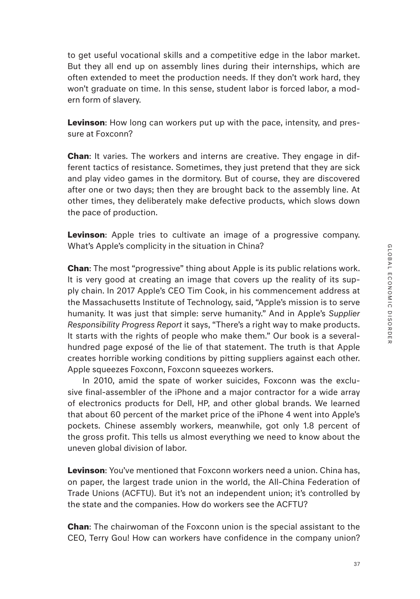to get useful vocational skills and a competitive edge in the labor market. But they all end up on assembly lines during their internships, which are often extended to meet the production needs. If they don't work hard, they won't graduate on time. In this sense, student labor is forced labor, a modern form of slavery.

**Levinson**: How long can workers put up with the pace, intensity, and pressure at Foxconn?

**Chan**: It varies. The workers and interns are creative. They engage in different tactics of resistance. Sometimes, they just pretend that they are sick and play video games in the dormitory. But of course, they are discovered after one or two days; then they are brought back to the assembly line. At other times, they deliberately make defective products, which slows down the pace of production.

**Levinson**: Apple tries to cultivate an image of a progressive company. What's Apple's complicity in the situation in China?

**Chan**: The most "progressive" thing about Apple is its public relations work. It is very good at creating an image that covers up the reality of its supply chain. In 2017 Apple's CEO Tim Cook, in his commencement address at the Massachusetts Institute of Technology, said, "Apple's mission is to serve humanity. It was just that simple: serve humanity." And in Apple's *Supplier Responsibility Progress Report* it says, "There's a right way to make products. It starts with the rights of people who make them." Our book is a severalhundred page exposé of the lie of that statement. The truth is that Apple creates horrible working conditions by pitting suppliers against each other. Apple squeezes Foxconn, Foxconn squeezes workers.

In 2010, amid the spate of worker suicides, Foxconn was the exclusive final-assembler of the iPhone and a major contractor for a wide array of electronics products for Dell, HP, and other global brands. We learned that about 60 percent of the market price of the iPhone 4 went into Apple's pockets. Chinese assembly workers, meanwhile, got only 1.8 percent of the gross profit. This tells us almost everything we need to know about the uneven global division of labor.

**Levinson**: You've mentioned that Foxconn workers need a union. China has, on paper, the largest trade union in the world, the All-China Federation of Trade Unions (ACFTU). But it's not an independent union; it's controlled by the state and the companies. How do workers see the ACFTU?

**Chan**: The chairwoman of the Foxconn union is the special assistant to the CEO, Terry Gou! How can workers have confidence in the company union?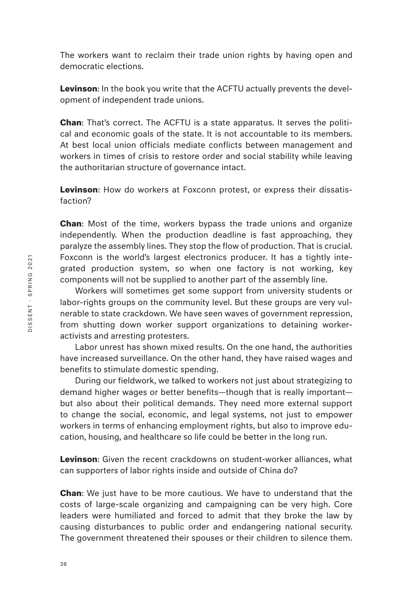The workers want to reclaim their trade union rights by having open and democratic elections.

**Levinson**: In the book you write that the ACFTU actually prevents the development of independent trade unions.

**Chan**: That's correct. The ACFTU is a state apparatus. It serves the political and economic goals of the state. It is not accountable to its members. At best local union officials mediate conflicts between management and workers in times of crisis to restore order and social stability while leaving the authoritarian structure of governance intact.

**Levinson**: How do workers at Foxconn protest, or express their dissatisfaction?

**Chan**: Most of the time, workers bypass the trade unions and organize independently. When the production deadline is fast approaching, they paralyze the assembly lines. They stop the flow of production. That is crucial. Foxconn is the world's largest electronics producer. It has a tightly integrated production system, so when one factory is not working, key components will not be supplied to another part of the assembly line.

Workers will sometimes get some support from university students or labor-rights groups on the community level. But these groups are very vulnerable to state crackdown. We have seen waves of government repression, from shutting down worker support organizations to detaining workeractivists and arresting protesters.

Labor unrest has shown mixed results. On the one hand, the authorities have increased surveillance. On the other hand, they have raised wages and benefits to stimulate domestic spending.

During our fieldwork, we talked to workers not just about strategizing to demand higher wages or better benefits—though that is really important but also about their political demands. They need more external support to change the social, economic, and legal systems, not just to empower workers in terms of enhancing employment rights, but also to improve education, housing, and healthcare so life could be better in the long run.

**Levinson**: Given the recent crackdowns on student-worker alliances, what can supporters of labor rights inside and outside of China do?

**Chan**: We just have to be more cautious. We have to understand that the costs of large-scale organizing and campaigning can be very high. Core leaders were humiliated and forced to admit that they broke the law by causing disturbances to public order and endangering national security. The government threatened their spouses or their children to silence them.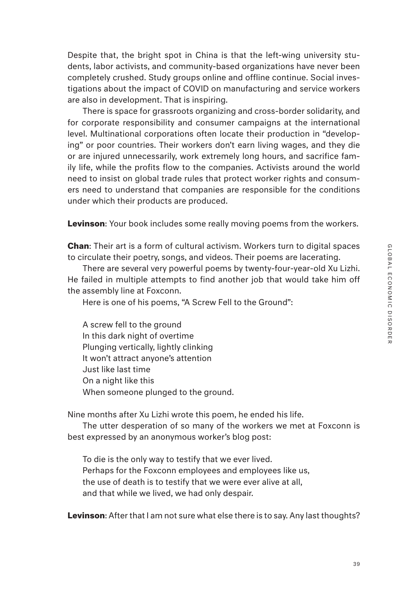Despite that, the bright spot in China is that the left-wing university students, labor activists, and community-based organizations have never been completely crushed. Study groups online and offline continue. Social investigations about the impact of COVID on manufacturing and service workers are also in development. That is inspiring.

There is space for grassroots organizing and cross-border solidarity, and for corporate responsibility and consumer campaigns at the international level. Multinational corporations often locate their production in "developing" or poor countries. Their workers don't earn living wages, and they die or are injured unnecessarily, work extremely long hours, and sacrifice family life, while the profits flow to the companies. Activists around the world need to insist on global trade rules that protect worker rights and consumers need to understand that companies are responsible for the conditions under which their products are produced.

**Levinson**: Your book includes some really moving poems from the workers.

**Chan**: Their art is a form of cultural activism. Workers turn to digital spaces to circulate their poetry, songs, and videos. Their poems are lacerating.

There are several very powerful poems by twenty-four-year-old Xu Lizhi. He failed in multiple attempts to find another job that would take him off the assembly line at Foxconn.

Here is one of his poems, "A Screw Fell to the Ground":

A screw fell to the ground In this dark night of overtime Plunging vertically, lightly clinking It won't attract anyone's attention Just like last time On a night like this When someone plunged to the ground.

Nine months after Xu Lizhi wrote this poem, he ended his life.

The utter desperation of so many of the workers we met at Foxconn is best expressed by an anonymous worker's blog post:

To die is the only way to testify that we ever lived. Perhaps for the Foxconn employees and employees like us, the use of death is to testify that we were ever alive at all, and that while we lived, we had only despair.

**Levinson**: After that I am not sure what else there is to say. Any last thoughts?